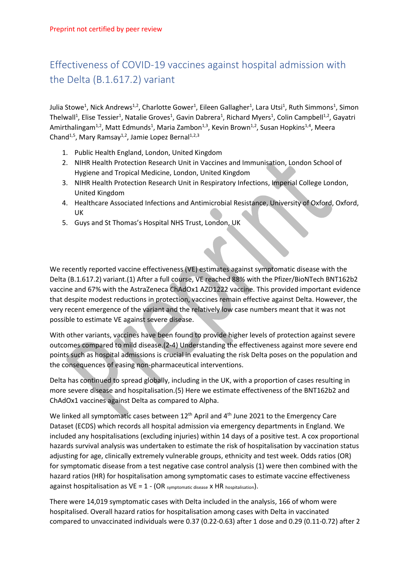## Effectiveness of COVID-19 vaccines against hospital admission with the Delta (B.1.617.2) variant

Julia Stowe<sup>1</sup>, Nick Andrews<sup>1,2</sup>, Charlotte Gower<sup>1</sup>, Eileen Gallagher<sup>1</sup>, Lara Utsi<sup>1</sup>, Ruth Simmons<sup>1</sup>, Simon Thelwall<sup>1</sup>, Elise Tessier<sup>1</sup>, Natalie Groves<sup>1</sup>, Gavin Dabrera<sup>1</sup>, Richard Myers<sup>1</sup>, Colin Campbell<sup>1,2</sup>, Gayatri Amirthalingam<sup>1,2</sup>, Matt Edmunds<sup>1</sup>, Maria Zambon<sup>1,3</sup>, Kevin Brown<sup>1,2</sup>, Susan Hopkins<sup>1,4</sup>, Meera Chand<sup>1,5</sup>, Mary Ramsay<sup>1,2</sup>, Jamie Lopez Bernal<sup>1,2,3</sup>

- 1. Public Health England, London, United Kingdom
- 2. NIHR Health Protection Research Unit in Vaccines and Immunisation, London School of Hygiene and Tropical Medicine, London, United Kingdom
- 3. NIHR Health Protection Research Unit in Respiratory Infections, Imperial College London, United Kingdom
- 4. Healthcare Associated Infections and Antimicrobial Resistance, University of Oxford, Oxford, UK
- 5. Guys and St Thomas's Hospital NHS Trust, London, UK

We recently reported vaccine effectiveness (VE) estimates against symptomatic disease with the Delta (B.1.617.2) variant.(1) After a full course, VE reached 88% with the Pfizer/BioNTech BNT162b2 vaccine and 67% with the AstraZeneca ChAdOx1 AZD1222 vaccine. This provided important evidence that despite modest reductions in protection, vaccines remain effective against Delta. However, the very recent emergence of the variant and the relatively low case numbers meant that it was not possible to estimate VE against severe disease.

With other variants, vaccines have been found to provide higher levels of protection against severe outcomes compared to mild disease.(2-4) Understanding the effectiveness against more severe end points such as hospital admissions is crucial in evaluating the risk Delta poses on the population and the consequences of easing non-pharmaceutical interventions.

Delta has continued to spread globally, including in the UK, with a proportion of cases resulting in more severe disease and hospitalisation.(5) Here we estimate effectiveness of the BNT162b2 and ChAdOx1 vaccines against Delta as compared to Alpha.

We linked all symptomatic cases between  $12<sup>th</sup>$  April and  $4<sup>th</sup>$  June 2021 to the Emergency Care Dataset (ECDS) which records all hospital admission via emergency departments in England. We included any hospitalisations (excluding injuries) within 14 days of a positive test. A cox proportional hazards survival analysis was undertaken to estimate the risk of hospitalisation by vaccination status adjusting for age, clinically extremely vulnerable groups, ethnicity and test week. Odds ratios (OR) for symptomatic disease from a test negative case control analysis (1) were then combined with the hazard ratios (HR) for hospitalisation among symptomatic cases to estimate vaccine effectiveness against hospitalisation as  $VE = 1 - (OR_{symptomatic disease} \times HR_{hospitalisation}).$ 

There were 14,019 symptomatic cases with Delta included in the analysis, 166 of whom were hospitalised. Overall hazard ratios for hospitalisation among cases with Delta in vaccinated compared to unvaccinated individuals were 0.37 (0.22-0.63) after 1 dose and 0.29 (0.11-0.72) after 2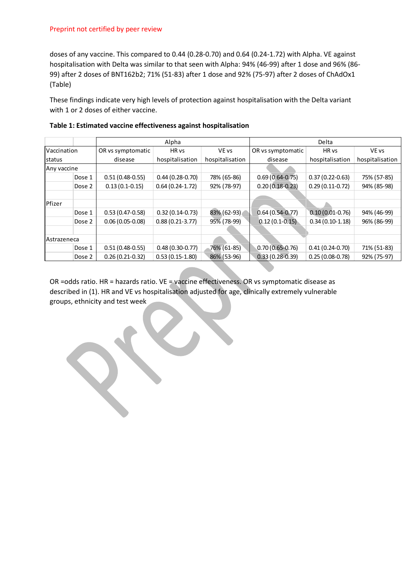doses of any vaccine. This compared to 0.44 (0.28-0.70) and 0.64 (0.24-1.72) with Alpha. VE against hospitalisation with Delta was similar to that seen with Alpha: 94% (46-99) after 1 dose and 96% (86- 99) after 2 doses of BNT162b2; 71% (51-83) after 1 dose and 92% (75-97) after 2 doses of ChAdOx1 (Table)

These findings indicate very high levels of protection against hospitalisation with the Delta variant with 1 or 2 doses of either vaccine.

|             |        | Alpha             |                   |                 | Delta               |                   |                 |
|-------------|--------|-------------------|-------------------|-----------------|---------------------|-------------------|-----------------|
| Vaccination |        | OR vs symptomatic | HR vs             | VE vs           | OR vs symptomatic   | HR vs             | VE vs           |
| status      |        | disease           | hospitalisation   | hospitalisation | disease             | hospitalisation   | hospitalisation |
| Any vaccine |        |                   |                   |                 |                     |                   |                 |
|             | Dose 1 | $0.51(0.48-0.55)$ | $0.44(0.28-0.70)$ | 78% (65-86)     | $0.69(0.64-0.75)$   | $0.37(0.22-0.63)$ | 75% (57-85)     |
|             | Dose 2 | $0.13(0.1-0.15)$  | $0.64(0.24-1.72)$ | 92% (78-97)     | $0.20(0.18-0.23)$   | $0.29(0.11-0.72)$ | 94% (85-98)     |
|             |        |                   |                   |                 |                     |                   |                 |
| Pfizer      |        |                   |                   |                 |                     |                   |                 |
|             | Dose 1 | $0.53(0.47-0.58)$ | $0.32(0.14-0.73)$ | 83% (62-93)     | $0.64(0.54-0.77)$   | $0.10(0.01-0.76)$ | 94% (46-99)     |
|             | Dose 2 | $0.06(0.05-0.08)$ | $0.88(0.21-3.77)$ | 95% (78-99)     | $0.12(0.1-0.15)$    | $0.34(0.10-1.18)$ | 96% (86-99)     |
|             |        |                   |                   |                 |                     |                   |                 |
| Astrazeneca |        |                   |                   |                 |                     |                   |                 |
|             | Dose 1 | $0.51(0.48-0.55)$ | $0.48(0.30-0.77)$ | 76% (61-85)     | $0.70(0.65 - 0.76)$ | $0.41(0.24-0.70)$ | 71% (51-83)     |
|             | Dose 2 | $0.26(0.21-0.32)$ | $0.53(0.15-1.80)$ | 86% (53-96)     | $0.33(0.28-0.39)$   | $0.25(0.08-0.78)$ | 92% (75-97)     |

|  |  | Table 1: Estimated vaccine effectiveness against hospitalisation |
|--|--|------------------------------------------------------------------|
|--|--|------------------------------------------------------------------|

OR =odds ratio. HR = hazards ratio. VE = vaccine effectiveness. OR vs symptomatic disease as described in (1). HR and VE vs hospitalisation adjusted for age, clinically extremely vulnerable groups, ethnicity and test week